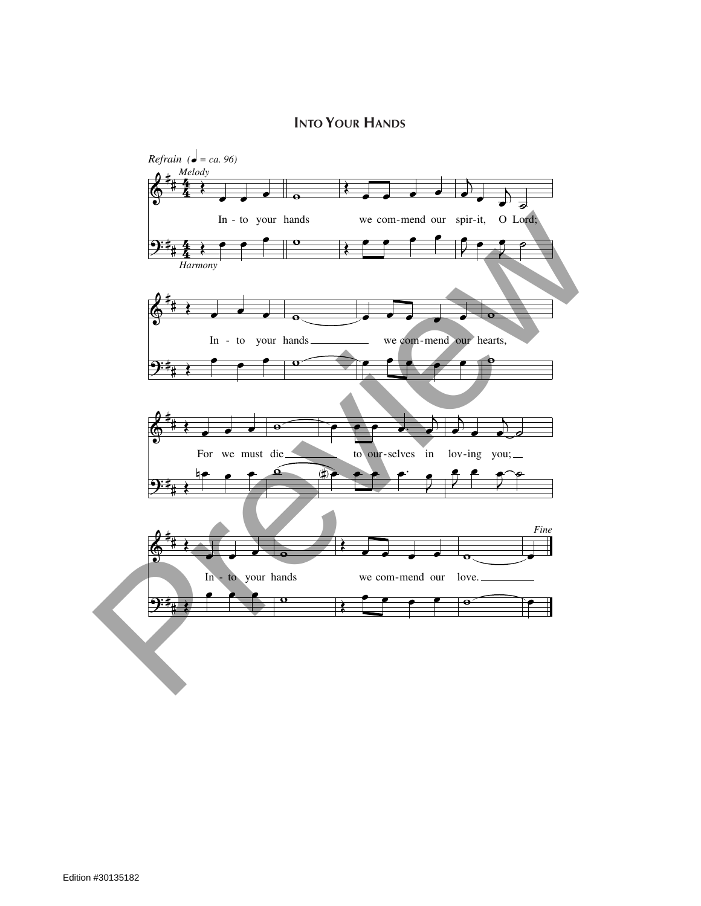## **Into Your Hands**